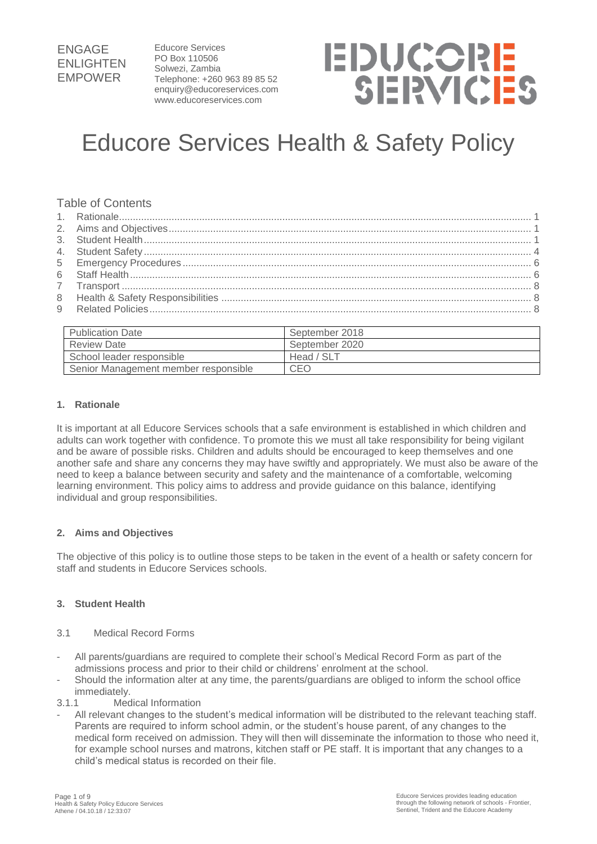Educore Services PO Box 110506 Solwezi, Zambia Telephone: +260 963 89 85 52 enquiry@educoreservices.com www.educoreservices.com

# **EDUCORE** SERVICES

## Educore Services Health & Safety Policy

#### Table of Contents

| <b>Publication Date</b>              | September 2018 |
|--------------------------------------|----------------|
| <b>Review Date</b>                   | September 2020 |
| School leader responsible            | Head / SLT     |
| Senior Management member responsible | <b>CEO</b>     |

#### <span id="page-0-0"></span>**1. Rationale**

It is important at all Educore Services schools that a safe environment is established in which children and adults can work together with confidence. To promote this we must all take responsibility for being vigilant and be aware of possible risks. Children and adults should be encouraged to keep themselves and one another safe and share any concerns they may have swiftly and appropriately. We must also be aware of the need to keep a balance between security and safety and the maintenance of a comfortable, welcoming learning environment. This policy aims to address and provide guidance on this balance, identifying individual and group responsibilities.

#### <span id="page-0-1"></span>**2. Aims and Objectives**

The objective of this policy is to outline those steps to be taken in the event of a health or safety concern for staff and students in Educore Services schools.

#### <span id="page-0-2"></span>**3. Student Health**

#### 3.1 Medical Record Forms

- All parents/guardians are required to complete their school's Medical Record Form as part of the admissions process and prior to their child or childrens' enrolment at the school.
- Should the information alter at any time, the parents/guardians are obliged to inform the school office immediately.
- 3.1.1 Medical Information
- All relevant changes to the student's medical information will be distributed to the relevant teaching staff. Parents are required to inform school admin, or the student's house parent, of any changes to the medical form received on admission. They will then will disseminate the information to those who need it, for example school nurses and matrons, kitchen staff or PE staff. It is important that any changes to a child's medical status is recorded on their file.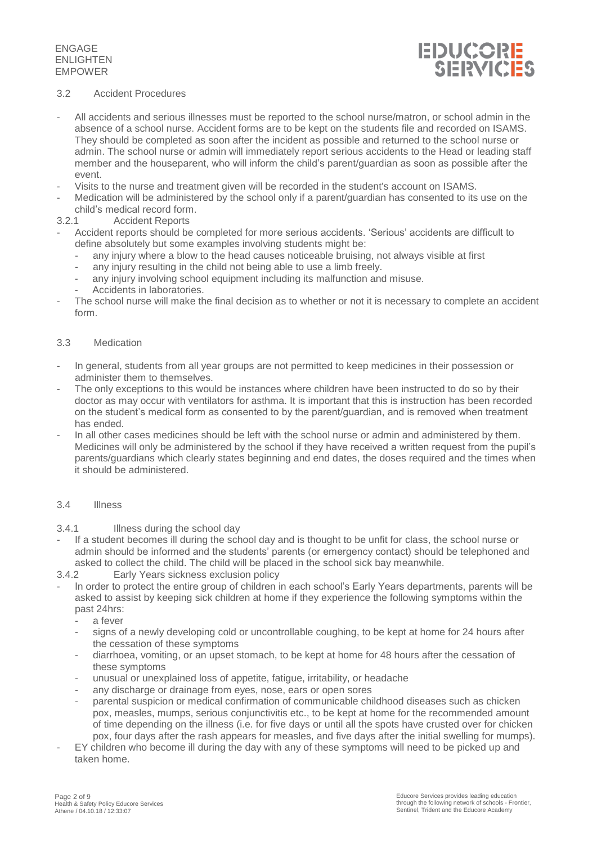

#### 3.2 Accident Procedures

- All accidents and serious illnesses must be reported to the school nurse/matron, or school admin in the absence of a school nurse. Accident forms are to be kept on the students file and recorded on ISAMS. They should be completed as soon after the incident as possible and returned to the school nurse or admin. The school nurse or admin will immediately report serious accidents to the Head or leading staff member and the houseparent, who will inform the child's parent/guardian as soon as possible after the event.
- Visits to the nurse and treatment given will be recorded in the student's account on ISAMS.
- Medication will be administered by the school only if a parent/guardian has consented to its use on the child's medical record form.
- 3.2.1 Accident Reports
- Accident reports should be completed for more serious accidents. 'Serious' accidents are difficult to define absolutely but some examples involving students might be:
	- any injury where a blow to the head causes noticeable bruising, not always visible at first
	- any injury resulting in the child not being able to use a limb freely.
	- any injury involving school equipment including its malfunction and misuse.
	- Accidents in laboratories.
- The school nurse will make the final decision as to whether or not it is necessary to complete an accident form.

#### 3.3 Medication

- In general, students from all year groups are not permitted to keep medicines in their possession or administer them to themselves.
- The only exceptions to this would be instances where children have been instructed to do so by their doctor as may occur with ventilators for asthma. It is important that this is instruction has been recorded on the student's medical form as consented to by the parent/guardian, and is removed when treatment has ended.
- In all other cases medicines should be left with the school nurse or admin and administered by them. Medicines will only be administered by the school if they have received a written request from the pupil's parents/guardians which clearly states beginning and end dates, the doses required and the times when it should be administered.

#### 3.4 Illness

- 3.4.1 Illness during the school day
- If a student becomes ill during the school day and is thought to be unfit for class, the school nurse or admin should be informed and the students' parents (or emergency contact) should be telephoned and asked to collect the child. The child will be placed in the school sick bay meanwhile.
- 3.4.2 Early Years sickness exclusion policy
- In order to protect the entire group of children in each school's Early Years departments, parents will be asked to assist by keeping sick children at home if they experience the following symptoms within the past 24hrs:
	- a fever
	- signs of a newly developing cold or uncontrollable coughing, to be kept at home for 24 hours after the cessation of these symptoms
	- diarrhoea, vomiting, or an upset stomach, to be kept at home for 48 hours after the cessation of these symptoms
	- unusual or unexplained loss of appetite, fatigue, irritability, or headache
	- any discharge or drainage from eyes, nose, ears or open sores
	- parental suspicion or medical confirmation of communicable childhood diseases such as chicken pox, measles, mumps, serious conjunctivitis etc., to be kept at home for the recommended amount of time depending on the illness (i.e. for five days or until all the spots have crusted over for chicken pox, four days after the rash appears for measles, and five days after the initial swelling for mumps).
- EY children who become ill during the day with any of these symptoms will need to be picked up and taken home.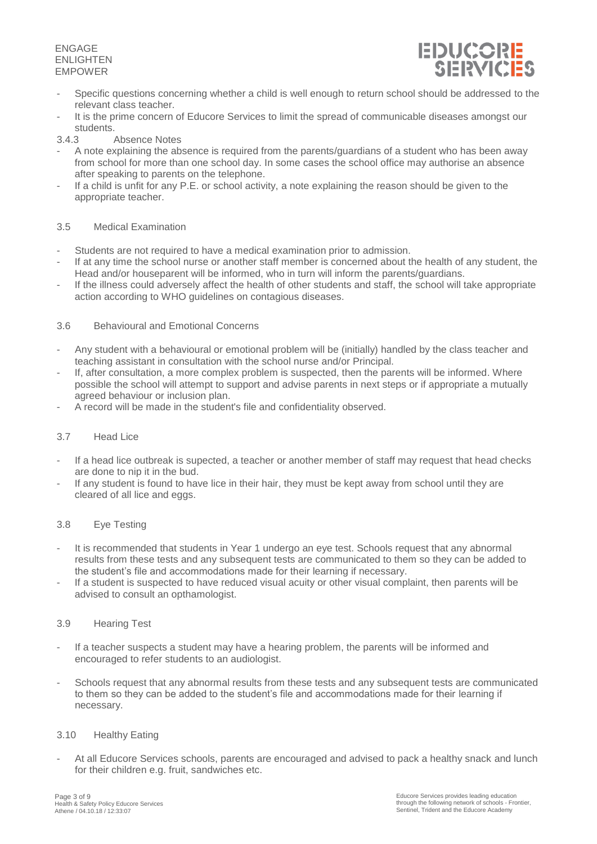

- Specific questions concerning whether a child is well enough to return school should be addressed to the relevant class teacher.
- It is the prime concern of Educore Services to limit the spread of communicable diseases amongst our students.
- Absence Notes
- A note explaining the absence is required from the parents/guardians of a student who has been away from school for more than one school day. In some cases the school office may authorise an absence after speaking to parents on the telephone.
- If a child is unfit for any P.E. or school activity, a note explaining the reason should be given to the appropriate teacher.

#### 3.5 Medical Examination

- Students are not required to have a medical examination prior to admission.
- If at any time the school nurse or another staff member is concerned about the health of any student, the Head and/or houseparent will be informed, who in turn will inform the parents/guardians.
- If the illness could adversely affect the health of other students and staff, the school will take appropriate action according to WHO guidelines on contagious diseases.

#### 3.6 Behavioural and Emotional Concerns

- Any student with a behavioural or emotional problem will be (initially) handled by the class teacher and teaching assistant in consultation with the school nurse and/or Principal.
- If, after consultation, a more complex problem is suspected, then the parents will be informed. Where possible the school will attempt to support and advise parents in next steps or if appropriate a mutually agreed behaviour or inclusion plan.
- A record will be made in the student's file and confidentiality observed.

#### 3.7 Head Lice

- If a head lice outbreak is supected, a teacher or another member of staff may request that head checks are done to nip it in the bud.
- If any student is found to have lice in their hair, they must be kept away from school until they are cleared of all lice and eggs.

#### 3.8 Eye Testing

- It is recommended that students in Year 1 undergo an eye test. Schools request that any abnormal results from these tests and any subsequent tests are communicated to them so they can be added to the student's file and accommodations made for their learning if necessary.
- If a student is suspected to have reduced visual acuity or other visual complaint, then parents will be advised to consult an opthamologist.

#### 3.9 Hearing Test

- If a teacher suspects a student may have a hearing problem, the parents will be informed and encouraged to refer students to an audiologist.
- Schools request that any abnormal results from these tests and any subsequent tests are communicated to them so they can be added to the student's file and accommodations made for their learning if necessary.

#### 3.10 Healthy Eating

- At all Educore Services schools, parents are encouraged and advised to pack a healthy snack and lunch for their children e.g. fruit, sandwiches etc.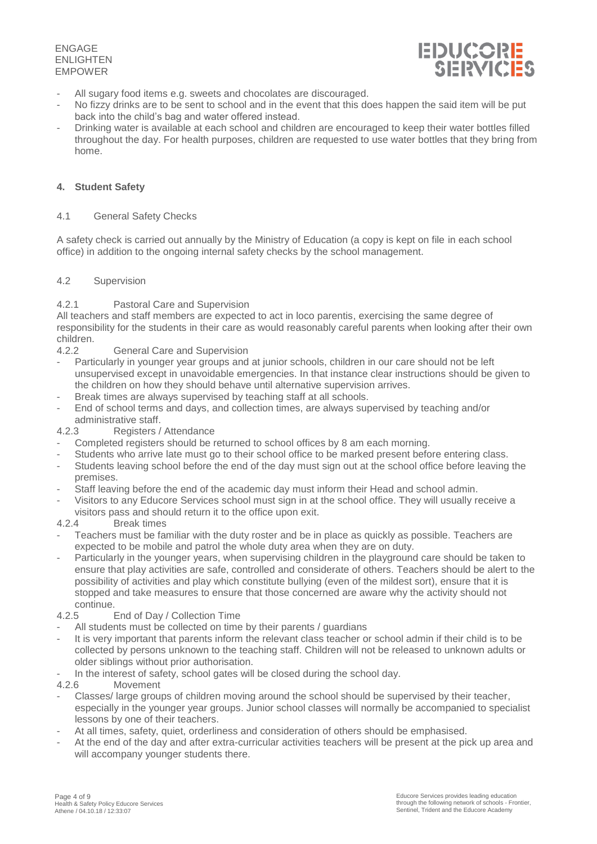

- All sugary food items e.g. sweets and chocolates are discouraged.
- No fizzy drinks are to be sent to school and in the event that this does happen the said item will be put back into the child's bag and water offered instead.
- Drinking water is available at each school and children are encouraged to keep their water bottles filled throughout the day. For health purposes, children are requested to use water bottles that they bring from home.

#### <span id="page-3-0"></span>**4. Student Safety**

#### 4.1 General Safety Checks

A safety check is carried out annually by the Ministry of Education (a copy is kept on file in each school office) in addition to the ongoing internal safety checks by the school management.

#### 4.2 Supervision

#### 4.2.1 Pastoral Care and Supervision

All teachers and staff members are expected to act in loco parentis, exercising the same degree of responsibility for the students in their care as would reasonably careful parents when looking after their own children.<br>4.2.2

- General Care and Supervision
- Particularly in younger year groups and at junior schools, children in our care should not be left unsupervised except in unavoidable emergencies. In that instance clear instructions should be given to the children on how they should behave until alternative supervision arrives.
- Break times are always supervised by teaching staff at all schools.
- End of school terms and days, and collection times, are always supervised by teaching and/or administrative staff.<br>4 2 3 Registers /
- Registers / Attendance
- Completed registers should be returned to school offices by 8 am each morning.
- Students who arrive late must go to their school office to be marked present before entering class.
- Students leaving school before the end of the day must sign out at the school office before leaving the premises.
- Staff leaving before the end of the academic day must inform their Head and school admin.
- Visitors to any Educore Services school must sign in at the school office. They will usually receive a
- visitors pass and should return it to the office upon exit.

#### 4.2.4 Break times

- Teachers must be familiar with the duty roster and be in place as quickly as possible. Teachers are expected to be mobile and patrol the whole duty area when they are on duty.
- Particularly in the younger years, when supervising children in the playground care should be taken to ensure that play activities are safe, controlled and considerate of others. Teachers should be alert to the possibility of activities and play which constitute bullying (even of the mildest sort), ensure that it is stopped and take measures to ensure that those concerned are aware why the activity should not continue.
- 4.2.5 End of Day / Collection Time
- All students must be collected on time by their parents / guardians
- It is very important that parents inform the relevant class teacher or school admin if their child is to be collected by persons unknown to the teaching staff. Children will not be released to unknown adults or older siblings without prior authorisation.
- In the interest of safety, school gates will be closed during the school day.<br>4.2.6 Movement
- **Movement**
- Classes/ large groups of children moving around the school should be supervised by their teacher, especially in the younger year groups. Junior school classes will normally be accompanied to specialist lessons by one of their teachers.
- At all times, safety, quiet, orderliness and consideration of others should be emphasised.
- At the end of the day and after extra-curricular activities teachers will be present at the pick up area and will accompany younger students there.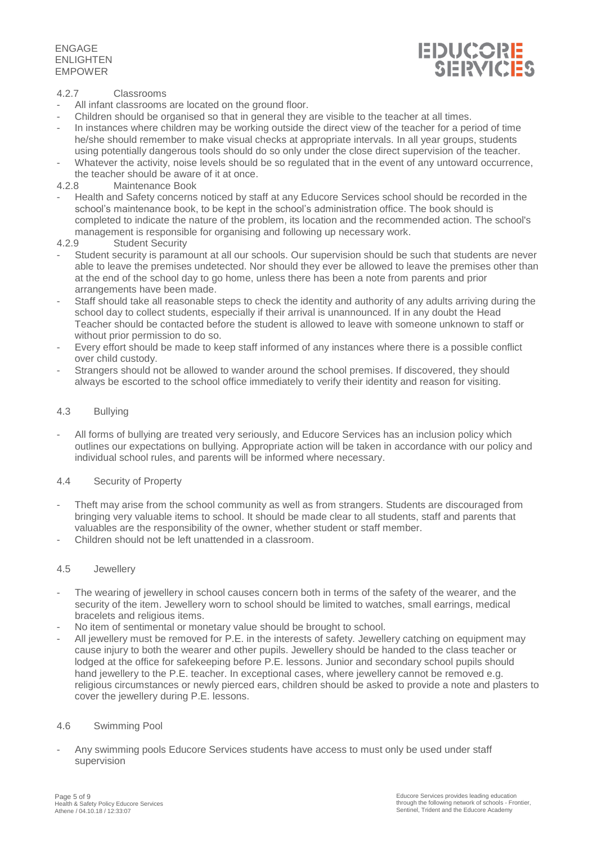

#### 4.2.7 Classrooms

- All infant classrooms are located on the ground floor.
- Children should be organised so that in general they are visible to the teacher at all times.
- In instances where children may be working outside the direct view of the teacher for a period of time he/she should remember to make visual checks at appropriate intervals. In all year groups, students using potentially dangerous tools should do so only under the close direct supervision of the teacher.
- Whatever the activity, noise levels should be so regulated that in the event of any untoward occurrence, the teacher should be aware of it at once.
- 4.2.8 Maintenance Book
- Health and Safety concerns noticed by staff at any Educore Services school should be recorded in the school's maintenance book, to be kept in the school's administration office. The book should is completed to indicate the nature of the problem, its location and the recommended action. The school's management is responsible for organising and following up necessary work.
- 4.2.9 Student Security
- Student security is paramount at all our schools. Our supervision should be such that students are never able to leave the premises undetected. Nor should they ever be allowed to leave the premises other than at the end of the school day to go home, unless there has been a note from parents and prior arrangements have been made.
- Staff should take all reasonable steps to check the identity and authority of any adults arriving during the school day to collect students, especially if their arrival is unannounced. If in any doubt the Head Teacher should be contacted before the student is allowed to leave with someone unknown to staff or without prior permission to do so.
- Every effort should be made to keep staff informed of any instances where there is a possible conflict over child custody.
- Strangers should not be allowed to wander around the school premises. If discovered, they should always be escorted to the school office immediately to verify their identity and reason for visiting.

#### 4.3 Bullying

- All forms of bullying are treated very seriously, and Educore Services has an inclusion policy which outlines our expectations on bullying. Appropriate action will be taken in accordance with our policy and individual school rules, and parents will be informed where necessary.

#### 4.4 Security of Property

- Theft may arise from the school community as well as from strangers. Students are discouraged from bringing very valuable items to school. It should be made clear to all students, staff and parents that valuables are the responsibility of the owner, whether student or staff member.
- Children should not be left unattended in a classroom.

#### 4.5 Jewellery

- The wearing of jewellery in school causes concern both in terms of the safety of the wearer, and the security of the item. Jewellery worn to school should be limited to watches, small earrings, medical bracelets and religious items.
- No item of sentimental or monetary value should be brought to school.
- All jewellery must be removed for P.E. in the interests of safety. Jewellery catching on equipment may cause injury to both the wearer and other pupils. Jewellery should be handed to the class teacher or lodged at the office for safekeeping before P.E. lessons. Junior and secondary school pupils should hand jewellery to the P.E. teacher. In exceptional cases, where jewellery cannot be removed e.g. religious circumstances or newly pierced ears, children should be asked to provide a note and plasters to cover the jewellery during P.E. lessons.

#### 4.6 Swimming Pool

- Any swimming pools Educore Services students have access to must only be used under staff supervision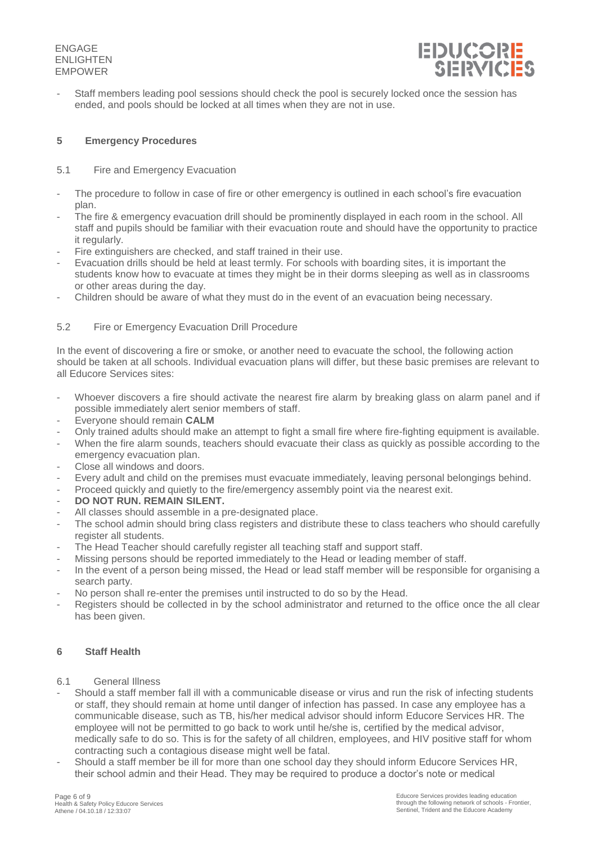

Staff members leading pool sessions should check the pool is securely locked once the session has ended, and pools should be locked at all times when they are not in use.

#### <span id="page-5-0"></span>**5 Emergency Procedures**

#### 5.1 Fire and Emergency Evacuation

- The procedure to follow in case of fire or other emergency is outlined in each school's fire evacuation plan.
- The fire & emergency evacuation drill should be prominently displayed in each room in the school. All staff and pupils should be familiar with their evacuation route and should have the opportunity to practice it regularly.
- Fire extinguishers are checked, and staff trained in their use.
- Evacuation drills should be held at least termly. For schools with boarding sites, it is important the students know how to evacuate at times they might be in their dorms sleeping as well as in classrooms or other areas during the day.
- Children should be aware of what they must do in the event of an evacuation being necessary.

#### 5.2 Fire or Emergency Evacuation Drill Procedure

In the event of discovering a fire or smoke, or another need to evacuate the school, the following action should be taken at all schools. Individual evacuation plans will differ, but these basic premises are relevant to all Educore Services sites:

- Whoever discovers a fire should activate the nearest fire alarm by breaking glass on alarm panel and if possible immediately alert senior members of staff.
- Everyone should remain **CALM**
- Only trained adults should make an attempt to fight a small fire where fire-fighting equipment is available.
- When the fire alarm sounds, teachers should evacuate their class as quickly as possible according to the emergency evacuation plan.
- Close all windows and doors.
- Every adult and child on the premises must evacuate immediately, leaving personal belongings behind.
- Proceed quickly and quietly to the fire/emergency assembly point via the nearest exit.
- DO NOT RUN. REMAIN SILENT.
- All classes should assemble in a pre-designated place.
- The school admin should bring class registers and distribute these to class teachers who should carefully register all students.
- The Head Teacher should carefully register all teaching staff and support staff.
- Missing persons should be reported immediately to the Head or leading member of staff.
- In the event of a person being missed, the Head or lead staff member will be responsible for organising a search party.
- No person shall re-enter the premises until instructed to do so by the Head.
- <span id="page-5-1"></span>Registers should be collected in by the school administrator and returned to the office once the all clear has been given.

#### **6 Staff Health**

- 6.1 General Illness
- Should a staff member fall ill with a communicable disease or virus and run the risk of infecting students or staff, they should remain at home until danger of infection has passed. In case any employee has a communicable disease, such as TB, his/her medical advisor should inform Educore Services HR. The employee will not be permitted to go back to work until he/she is, certified by the medical advisor, medically safe to do so. This is for the safety of all children, employees, and HIV positive staff for whom contracting such a contagious disease might well be fatal.
- Should a staff member be ill for more than one school day they should inform Educore Services HR, their school admin and their Head. They may be required to produce a doctor's note or medical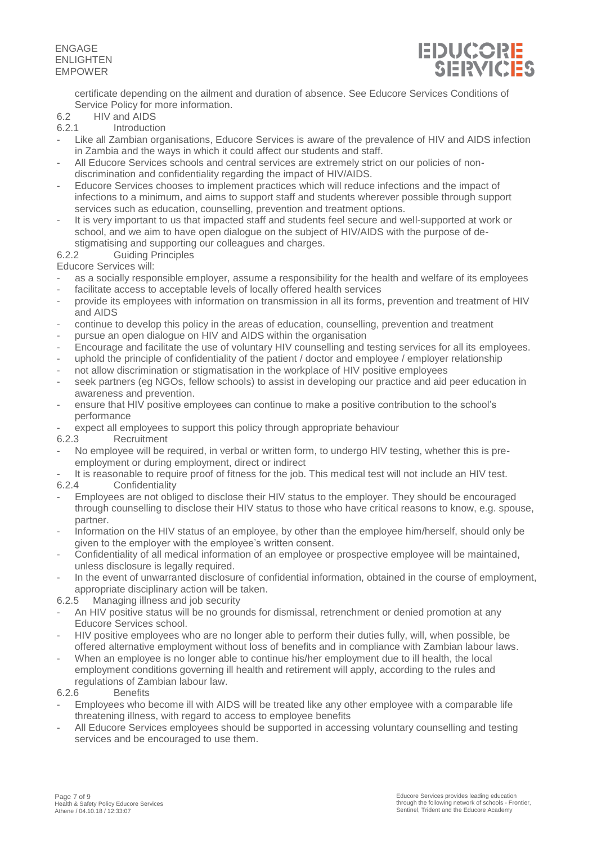

certificate depending on the ailment and duration of absence. See Educore Services Conditions of Service Policy for more information.

### 6.2 HIV and AIDS<br>6.2.1 Introduction

- **Introduction**
- Like all Zambian organisations, Educore Services is aware of the prevalence of HIV and AIDS infection in Zambia and the ways in which it could affect our students and staff.
- All Educore Services schools and central services are extremely strict on our policies of nondiscrimination and confidentiality regarding the impact of HIV/AIDS.
- Educore Services chooses to implement practices which will reduce infections and the impact of infections to a minimum, and aims to support staff and students wherever possible through support services such as education, counselling, prevention and treatment options.
- It is very important to us that impacted staff and students feel secure and well-supported at work or school, and we aim to have open dialogue on the subject of HIV/AIDS with the purpose of destigmatising and supporting our colleagues and charges.
- 6.2.2 Guiding Principles

Educore Services will:

- as a socially responsible employer, assume a responsibility for the health and welfare of its employees
- facilitate access to acceptable levels of locally offered health services
- provide its employees with information on transmission in all its forms, prevention and treatment of HIV and AIDS
- continue to develop this policy in the areas of education, counselling, prevention and treatment
- pursue an open dialogue on HIV and AIDS within the organisation
- Encourage and facilitate the use of voluntary HIV counselling and testing services for all its employees.
- uphold the principle of confidentiality of the patient / doctor and employee / employer relationship
- not allow discrimination or stigmatisation in the workplace of HIV positive employees
- seek partners (eg NGOs, fellow schools) to assist in developing our practice and aid peer education in awareness and prevention.
- ensure that HIV positive employees can continue to make a positive contribution to the school's performance
- expect all employees to support this policy through appropriate behaviour

6.2.3 Recruitment

- No employee will be required, in verbal or written form, to undergo HIV testing, whether this is preemployment or during employment, direct or indirect
- It is reasonable to require proof of fitness for the job. This medical test will not include an HIV test.

6.2.4 Confidentiality

- Employees are not obliged to disclose their HIV status to the employer. They should be encouraged through counselling to disclose their HIV status to those who have critical reasons to know, e.g. spouse, partner.
- Information on the HIV status of an employee, by other than the employee him/herself, should only be given to the employer with the employee's written consent.
- Confidentiality of all medical information of an employee or prospective employee will be maintained, unless disclosure is legally required.
- In the event of unwarranted disclosure of confidential information, obtained in the course of employment, appropriate disciplinary action will be taken.<br>6.2.5 Managing illness and iob security
- Managing illness and job security
- An HIV positive status will be no grounds for dismissal, retrenchment or denied promotion at any Educore Services school.
- HIV positive employees who are no longer able to perform their duties fully, will, when possible, be offered alternative employment without loss of benefits and in compliance with Zambian labour laws.
- When an employee is no longer able to continue his/her employment due to ill health, the local employment conditions governing ill health and retirement will apply, according to the rules and regulations of Zambian labour law.

#### 6.2.6 Benefits

- Employees who become ill with AIDS will be treated like any other employee with a comparable life threatening illness, with regard to access to employee benefits
- All Educore Services employees should be supported in accessing voluntary counselling and testing services and be encouraged to use them.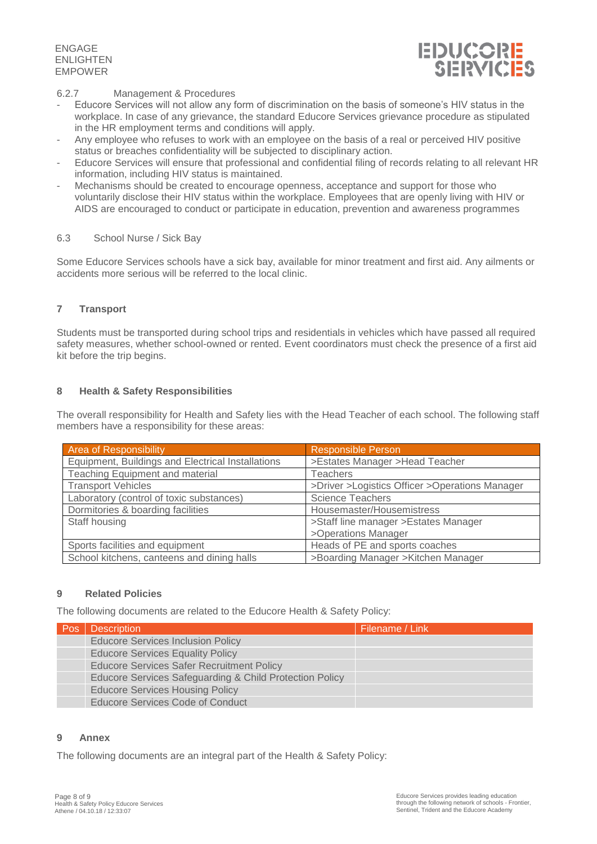

#### 6.2.7 Management & Procedures

- Educore Services will not allow any form of discrimination on the basis of someone's HIV status in the workplace. In case of any grievance, the standard Educore Services grievance procedure as stipulated in the HR employment terms and conditions will apply.
- Any employee who refuses to work with an employee on the basis of a real or perceived HIV positive status or breaches confidentiality will be subjected to disciplinary action.
- Educore Services will ensure that professional and confidential filing of records relating to all relevant HR information, including HIV status is maintained.
- Mechanisms should be created to encourage openness, acceptance and support for those who voluntarily disclose their HIV status within the workplace. Employees that are openly living with HIV or AIDS are encouraged to conduct or participate in education, prevention and awareness programmes

#### 6.3 School Nurse / Sick Bay

Some Educore Services schools have a sick bay, available for minor treatment and first aid. Any ailments or accidents more serious will be referred to the local clinic.

#### <span id="page-7-0"></span>**7 Transport**

Students must be transported during school trips and residentials in vehicles which have passed all required safety measures, whether school-owned or rented. Event coordinators must check the presence of a first aid kit before the trip begins.

#### <span id="page-7-1"></span>**8 Health & Safety Responsibilities**

The overall responsibility for Health and Safety lies with the Head Teacher of each school. The following staff members have a responsibility for these areas:

| <b>Area of Responsibility</b>                     | <b>Responsible Person</b>                      |  |
|---------------------------------------------------|------------------------------------------------|--|
| Equipment, Buildings and Electrical Installations | >Estates Manager >Head Teacher                 |  |
| <b>Teaching Equipment and material</b>            | <b>Teachers</b>                                |  |
| <b>Transport Vehicles</b>                         | >Driver >Logistics Officer >Operations Manager |  |
| Laboratory (control of toxic substances)          | <b>Science Teachers</b>                        |  |
| Dormitories & boarding facilities                 | Housemaster/Housemistress                      |  |
| Staff housing                                     | >Staff line manager >Estates Manager           |  |
|                                                   | >Operations Manager                            |  |
| Sports facilities and equipment                   | Heads of PE and sports coaches                 |  |
| School kitchens, canteens and dining halls        | >Boarding Manager >Kitchen Manager             |  |

#### <span id="page-7-2"></span>**9 Related Policies**

The following documents are related to the Educore Health & Safety Policy:

| <b>Pos</b> | <b>Description</b>                                      | Filename / Link |
|------------|---------------------------------------------------------|-----------------|
|            | <b>Educore Services Inclusion Policy</b>                |                 |
|            | <b>Educore Services Equality Policy</b>                 |                 |
|            | <b>Educore Services Safer Recruitment Policy</b>        |                 |
|            | Educore Services Safeguarding & Child Protection Policy |                 |
|            | <b>Educore Services Housing Policy</b>                  |                 |
|            | <b>Educore Services Code of Conduct</b>                 |                 |

#### **9 Annex**

The following documents are an integral part of the Health & Safety Policy: